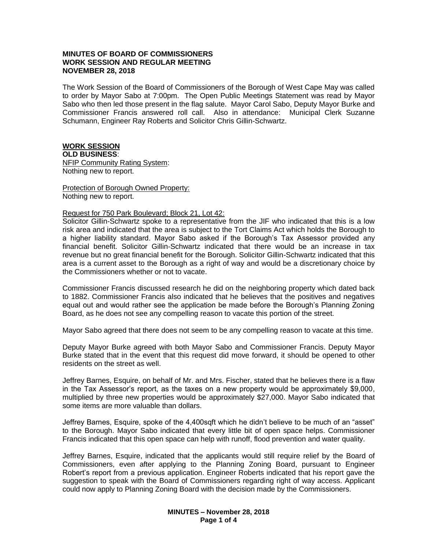# **MINUTES OF BOARD OF COMMISSIONERS WORK SESSION AND REGULAR MEETING NOVEMBER 28, 2018**

The Work Session of the Board of Commissioners of the Borough of West Cape May was called to order by Mayor Sabo at 7:00pm. The Open Public Meetings Statement was read by Mayor Sabo who then led those present in the flag salute. Mayor Carol Sabo, Deputy Mayor Burke and Commissioner Francis answered roll call. Also in attendance: Municipal Clerk Suzanne Schumann, Engineer Ray Roberts and Solicitor Chris Gillin-Schwartz.

# **WORK SESSION**

**OLD BUSINESS**: NFIP Community Rating System:

Nothing new to report.

Protection of Borough Owned Property: Nothing new to report.

# Request for 750 Park Boulevard; Block 21, Lot 42:

Solicitor Gillin-Schwartz spoke to a representative from the JIF who indicated that this is a low risk area and indicated that the area is subject to the Tort Claims Act which holds the Borough to a higher liability standard. Mayor Sabo asked if the Borough's Tax Assessor provided any financial benefit. Solicitor Gillin-Schwartz indicated that there would be an increase in tax revenue but no great financial benefit for the Borough. Solicitor Gillin-Schwartz indicated that this area is a current asset to the Borough as a right of way and would be a discretionary choice by the Commissioners whether or not to vacate.

Commissioner Francis discussed research he did on the neighboring property which dated back to 1882. Commissioner Francis also indicated that he believes that the positives and negatives equal out and would rather see the application be made before the Borough's Planning Zoning Board, as he does not see any compelling reason to vacate this portion of the street.

Mayor Sabo agreed that there does not seem to be any compelling reason to vacate at this time.

Deputy Mayor Burke agreed with both Mayor Sabo and Commissioner Francis. Deputy Mayor Burke stated that in the event that this request did move forward, it should be opened to other residents on the street as well.

Jeffrey Barnes, Esquire, on behalf of Mr. and Mrs. Fischer, stated that he believes there is a flaw in the Tax Assessor's report, as the taxes on a new property would be approximately \$9,000, multiplied by three new properties would be approximately \$27,000. Mayor Sabo indicated that some items are more valuable than dollars.

Jeffrey Barnes, Esquire, spoke of the 4,400sqft which he didn't believe to be much of an "asset" to the Borough. Mayor Sabo indicated that every little bit of open space helps. Commissioner Francis indicated that this open space can help with runoff, flood prevention and water quality.

Jeffrey Barnes, Esquire, indicated that the applicants would still require relief by the Board of Commissioners, even after applying to the Planning Zoning Board, pursuant to Engineer Robert's report from a previous application. Engineer Roberts indicated that his report gave the suggestion to speak with the Board of Commissioners regarding right of way access. Applicant could now apply to Planning Zoning Board with the decision made by the Commissioners.

> **MINUTES – November 28, 2018 Page 1 of 4**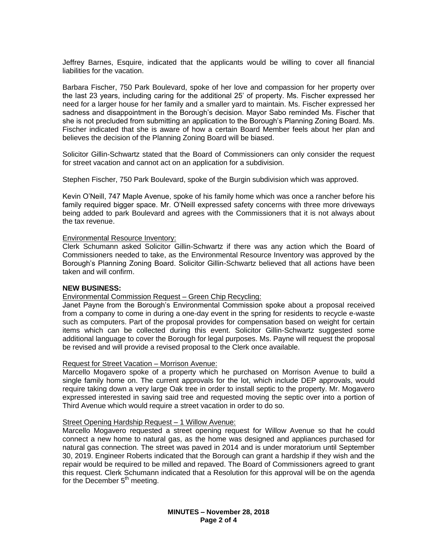Jeffrey Barnes, Esquire, indicated that the applicants would be willing to cover all financial liabilities for the vacation.

Barbara Fischer, 750 Park Boulevard, spoke of her love and compassion for her property over the last 23 years, including caring for the additional 25' of property. Ms. Fischer expressed her need for a larger house for her family and a smaller yard to maintain. Ms. Fischer expressed her sadness and disappointment in the Borough's decision. Mayor Sabo reminded Ms. Fischer that she is not precluded from submitting an application to the Borough's Planning Zoning Board. Ms. Fischer indicated that she is aware of how a certain Board Member feels about her plan and believes the decision of the Planning Zoning Board will be biased.

Solicitor Gillin-Schwartz stated that the Board of Commissioners can only consider the request for street vacation and cannot act on an application for a subdivision.

Stephen Fischer, 750 Park Boulevard, spoke of the Burgin subdivision which was approved.

Kevin O'Neill, 747 Maple Avenue, spoke of his family home which was once a rancher before his family required bigger space. Mr. O'Neill expressed safety concerns with three more driveways being added to park Boulevard and agrees with the Commissioners that it is not always about the tax revenue.

### Environmental Resource Inventory:

Clerk Schumann asked Solicitor Gillin-Schwartz if there was any action which the Board of Commissioners needed to take, as the Environmental Resource Inventory was approved by the Borough's Planning Zoning Board. Solicitor Gillin-Schwartz believed that all actions have been taken and will confirm.

## **NEW BUSINESS:**

# Environmental Commission Request – Green Chip Recycling:

Janet Payne from the Borough's Environmental Commission spoke about a proposal received from a company to come in during a one-day event in the spring for residents to recycle e-waste such as computers. Part of the proposal provides for compensation based on weight for certain items which can be collected during this event. Solicitor Gillin-Schwartz suggested some additional language to cover the Borough for legal purposes. Ms. Payne will request the proposal be revised and will provide a revised proposal to the Clerk once available.

#### Request for Street Vacation – Morrison Avenue:

Marcello Mogavero spoke of a property which he purchased on Morrison Avenue to build a single family home on. The current approvals for the lot, which include DEP approvals, would require taking down a very large Oak tree in order to install septic to the property. Mr. Mogavero expressed interested in saving said tree and requested moving the septic over into a portion of Third Avenue which would require a street vacation in order to do so.

#### Street Opening Hardship Request – 1 Willow Avenue:

Marcello Mogavero requested a street opening request for Willow Avenue so that he could connect a new home to natural gas, as the home was designed and appliances purchased for natural gas connection. The street was paved in 2014 and is under moratorium until September 30, 2019. Engineer Roberts indicated that the Borough can grant a hardship if they wish and the repair would be required to be milled and repaved. The Board of Commissioners agreed to grant this request. Clerk Schumann indicated that a Resolution for this approval will be on the agenda for the December  $5<sup>th</sup>$  meeting.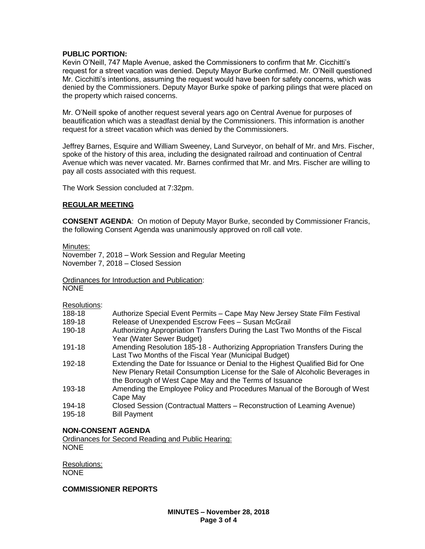# **PUBLIC PORTION:**

Kevin O'Neill, 747 Maple Avenue, asked the Commissioners to confirm that Mr. Cicchitti's request for a street vacation was denied. Deputy Mayor Burke confirmed. Mr. O'Neill questioned Mr. Cicchitti's intentions, assuming the request would have been for safety concerns, which was denied by the Commissioners. Deputy Mayor Burke spoke of parking pilings that were placed on the property which raised concerns.

Mr. O'Neill spoke of another request several years ago on Central Avenue for purposes of beautification which was a steadfast denial by the Commissioners. This information is another request for a street vacation which was denied by the Commissioners.

Jeffrey Barnes, Esquire and William Sweeney, Land Surveyor, on behalf of Mr. and Mrs. Fischer, spoke of the history of this area, including the designated railroad and continuation of Central Avenue which was never vacated. Mr. Barnes confirmed that Mr. and Mrs. Fischer are willing to pay all costs associated with this request.

The Work Session concluded at 7:32pm.

### **REGULAR MEETING**

**CONSENT AGENDA**: On motion of Deputy Mayor Burke, seconded by Commissioner Francis, the following Consent Agenda was unanimously approved on roll call vote.

Minutes:

November 7, 2018 – Work Session and Regular Meeting November 7, 2018 – Closed Session

Ordinances for Introduction and Publication: NONE

Resolutions:

- 188-18 Authorize Special Event Permits Cape May New Jersey State Film Festival
- 189-18 Release of Unexpended Escrow Fees Susan McGrail
- 190-18 Authorizing Appropriation Transfers During the Last Two Months of the Fiscal Year (Water Sewer Budget)
- 191-18 Amending Resolution 185-18 Authorizing Appropriation Transfers During the Last Two Months of the Fiscal Year (Municipal Budget)
- 192-18 Extending the Date for Issuance or Denial to the Highest Qualified Bid for One New Plenary Retail Consumption License for the Sale of Alcoholic Beverages in the Borough of West Cape May and the Terms of Issuance
- 193-18 Amending the Employee Policy and Procedures Manual of the Borough of West Cape May
- 194-18 Closed Session (Contractual Matters Reconstruction of Leaming Avenue)
- 195-18 Bill Payment

# **NON-CONSENT AGENDA**

Ordinances for Second Reading and Public Hearing: NONE

Resolutions: NONE

# **COMMISSIONER REPORTS**